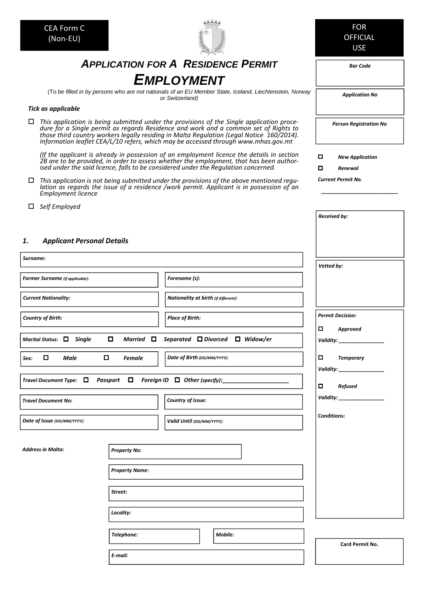| <b>CEA Form C</b><br>(Non-EU)                                                                                                                                                                                                                                                |                                                                                                                                                                                                                                                                                                                                                                      | <b>FOR</b><br><b>OFFICIAL</b><br><b>USE</b> |  |
|------------------------------------------------------------------------------------------------------------------------------------------------------------------------------------------------------------------------------------------------------------------------------|----------------------------------------------------------------------------------------------------------------------------------------------------------------------------------------------------------------------------------------------------------------------------------------------------------------------------------------------------------------------|---------------------------------------------|--|
|                                                                                                                                                                                                                                                                              | <b>APPLICATION FOR A RESIDENCE PERMIT</b>                                                                                                                                                                                                                                                                                                                            | <b>Bar Code</b>                             |  |
|                                                                                                                                                                                                                                                                              | <b>EMPLOYMENT</b>                                                                                                                                                                                                                                                                                                                                                    |                                             |  |
|                                                                                                                                                                                                                                                                              | (To be filled in by persons who are not nationals of an EU Member State, Iceland, Liechtenstein, Norway<br>or Switzerland)                                                                                                                                                                                                                                           | <b>Application No</b>                       |  |
| <b>Tick as applicable</b>                                                                                                                                                                                                                                                    |                                                                                                                                                                                                                                                                                                                                                                      |                                             |  |
| □                                                                                                                                                                                                                                                                            | This application is being submitted under the provisions of the Single application proce-<br>dure for a Single permit as regards Residence and work and a common set of Rights to<br>those third country workers legally residing in Malta Regulation (Legal Notice 160/2014).<br>Information leaflet CEA/L/10 refers, which may be accessed through www.mhas.gov.mt | <b>Person Registration No</b>               |  |
| (If the applicant is already in possession of an employment licence the details in section<br>2B are to be provided, in order to assess whether the employment, that has been author-<br>ised under the said licence, falls to be considered under the Regulation concerned. | 0<br><b>New Application</b><br>▫<br>Renewal                                                                                                                                                                                                                                                                                                                          |                                             |  |
| 0<br>Employment licence                                                                                                                                                                                                                                                      | This application is not being submitted under the provisions of the above mentioned regu-<br>lation as regards the issue of a residence /work permit. Applicant is in possession of an                                                                                                                                                                               | <b>Current Permit No.</b>                   |  |
| Self Employed<br>⊔                                                                                                                                                                                                                                                           |                                                                                                                                                                                                                                                                                                                                                                      | <b>Received by:</b>                         |  |
| 1.<br><b>Applicant Personal Details</b>                                                                                                                                                                                                                                      |                                                                                                                                                                                                                                                                                                                                                                      |                                             |  |
| Surname:                                                                                                                                                                                                                                                                     |                                                                                                                                                                                                                                                                                                                                                                      | Vetted by:                                  |  |
| <b>Former Surname</b> (if applicable):                                                                                                                                                                                                                                       | Forename (s):                                                                                                                                                                                                                                                                                                                                                        |                                             |  |
| <b>Current Nationality:</b>                                                                                                                                                                                                                                                  | Nationality at birth (if different):                                                                                                                                                                                                                                                                                                                                 |                                             |  |
| <b>Country of Birth:</b>                                                                                                                                                                                                                                                     | <b>Place of Birth:</b>                                                                                                                                                                                                                                                                                                                                               | <b>Permit Decision:</b><br>o<br>Approved    |  |
| Marital Status: □ Single<br>О                                                                                                                                                                                                                                                | Married □ Separated □ Divorced □ Widow/er                                                                                                                                                                                                                                                                                                                            | Validity: ______________                    |  |
| $\Box$<br>0<br>Male<br><b>Female</b><br>Sex:                                                                                                                                                                                                                                 | 0<br><b>Temporary</b>                                                                                                                                                                                                                                                                                                                                                |                                             |  |
| Travel Document Type: $\Box$ Passport $\Box$ Foreign ID $\Box$ Other (specify):                                                                                                                                                                                              | 0<br><b>Refused</b>                                                                                                                                                                                                                                                                                                                                                  |                                             |  |
| <b>Travel Document No:</b>                                                                                                                                                                                                                                                   | Country of Issue:                                                                                                                                                                                                                                                                                                                                                    |                                             |  |
| Date of Issue (DD/MM/YYYY):                                                                                                                                                                                                                                                  | Valid Until (DD/MM/YYYY):                                                                                                                                                                                                                                                                                                                                            | <b>Conditions:</b>                          |  |
| Address in Malta:<br><b>Property No:</b>                                                                                                                                                                                                                                     |                                                                                                                                                                                                                                                                                                                                                                      |                                             |  |
| <b>Property Name:</b>                                                                                                                                                                                                                                                        |                                                                                                                                                                                                                                                                                                                                                                      |                                             |  |
| Street:                                                                                                                                                                                                                                                                      |                                                                                                                                                                                                                                                                                                                                                                      |                                             |  |
| Locality:                                                                                                                                                                                                                                                                    |                                                                                                                                                                                                                                                                                                                                                                      |                                             |  |
| Telephone:                                                                                                                                                                                                                                                                   | Mobile:                                                                                                                                                                                                                                                                                                                                                              | Card Permit No.                             |  |
| E-mail:                                                                                                                                                                                                                                                                      |                                                                                                                                                                                                                                                                                                                                                                      |                                             |  |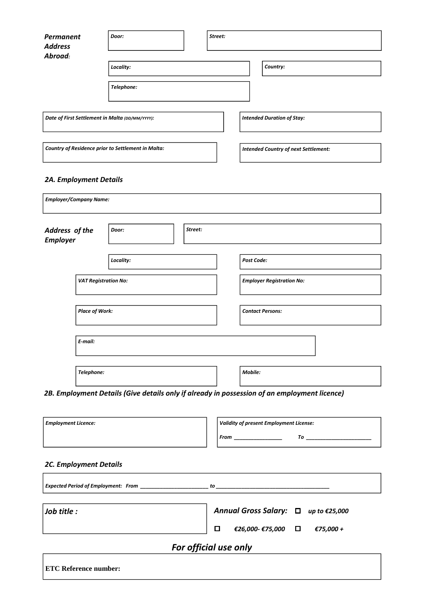| Permanent<br><b>Address</b>                        | Door:      |  | Street:                           |                                             |
|----------------------------------------------------|------------|--|-----------------------------------|---------------------------------------------|
| Abroad:                                            |            |  |                                   |                                             |
|                                                    | Locality:  |  |                                   | Country:                                    |
|                                                    | Telephone: |  |                                   |                                             |
| Date of First Settlement in Malta (DD/MM/YYYY):    |            |  | <b>Intended Duration of Stay:</b> |                                             |
|                                                    |            |  |                                   |                                             |
| Country of Residence prior to Settlement in Malta: |            |  |                                   | <b>Intended Country of next Settlement:</b> |

# *2A. Employment Details*

| <b>Employer/Company Name:</b> |                             |           |         |         |                                  |  |
|-------------------------------|-----------------------------|-----------|---------|---------|----------------------------------|--|
| Address of the<br>Employer    |                             | Door:     | Street: |         |                                  |  |
|                               |                             | Locality: |         |         | Post Code:                       |  |
|                               | <b>VAT Registration No:</b> |           |         |         | <b>Employer Registration No:</b> |  |
|                               | <b>Place of Work:</b>       |           |         |         | <b>Contact Persons:</b>          |  |
|                               | E-mail:                     |           |         |         |                                  |  |
|                               | Telephone:                  |           |         | Mobile: |                                  |  |

*2B. Employment Details (Give details only if already in possession of an employment licence)* 

| <b>Employment Licence:</b>    | <b>Validity of present Employment License:</b>                                                                                                                                                                                 |
|-------------------------------|--------------------------------------------------------------------------------------------------------------------------------------------------------------------------------------------------------------------------------|
|                               | $\overline{I}o$ $\overline{I}$<br>$From \_$                                                                                                                                                                                    |
|                               |                                                                                                                                                                                                                                |
| <b>2C. Employment Details</b> |                                                                                                                                                                                                                                |
|                               | Expected Period of Employment: From the control of the control of the control of the control of the control of the control of the control of the control of the control of the control of the control of the control of the co |
| Job title :                   | Annual Gross Salary: □ up to €25,000                                                                                                                                                                                           |
|                               | ◘<br>€26,000- €75,000 $\Box$ €75,000 +                                                                                                                                                                                         |
|                               | For official use only                                                                                                                                                                                                          |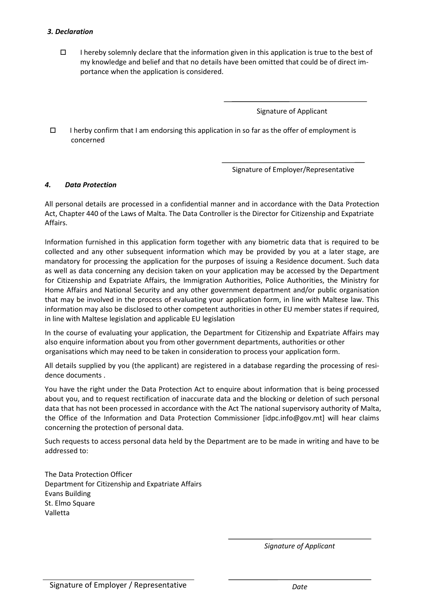### *3. Declaration*

I hereby solemnly declare that the information given in this application is true to the best of my knowledge and belief and that no details have been omitted that could be of direct importance when the application is considered.

Signature of Applicant

I herby confirm that I am endorsing this application in so far as the offer of employment is concerned

Signature of Employer/Representative

#### *4. Data Protection*

All personal details are processed in a confidential manner and in accordance with the Data Protection Act, Chapter 440 of the Laws of Malta. The Data Controller is the Director for Citizenship and Expatriate Affairs.

Information furnished in this application form together with any biometric data that is required to be collected and any other subsequent information which may be provided by you at a later stage, are mandatory for processing the application for the purposes of issuing a Residence document. Such data as well as data concerning any decision taken on your application may be accessed by the Department for Citizenship and Expatriate Affairs, the Immigration Authorities, Police Authorities, the Ministry for Home Affairs and National Security and any other government department and/or public organisation that may be involved in the process of evaluating your application form, in line with Maltese law. This information may also be disclosed to other competent authorities in other EU member states if required, in line with Maltese legislation and applicable EU legislation

In the course of evaluating your application, the Department for Citizenship and Expatriate Affairs may also enquire information about you from other government departments, authorities or other organisations which may need to be taken in consideration to process your application form.

All details supplied by you (the applicant) are registered in a database regarding the processing of residence documents .

You have the right under the Data Protection Act to enquire about information that is being processed about you, and to request rectification of inaccurate data and the blocking or deletion of such personal data that has not been processed in accordance with the Act The national supervisory authority of Malta, the Office of the Information and Data Protection Commissioner [idpc.info@gov.mt] will hear claims concerning the protection of personal data.

Such requests to access personal data held by the Department are to be made in writing and have to be addressed to:

The Data Protection Officer Department for Citizenship and Expatriate Affairs Evans Building St. Elmo Square Valletta

*Signature of Applicant*